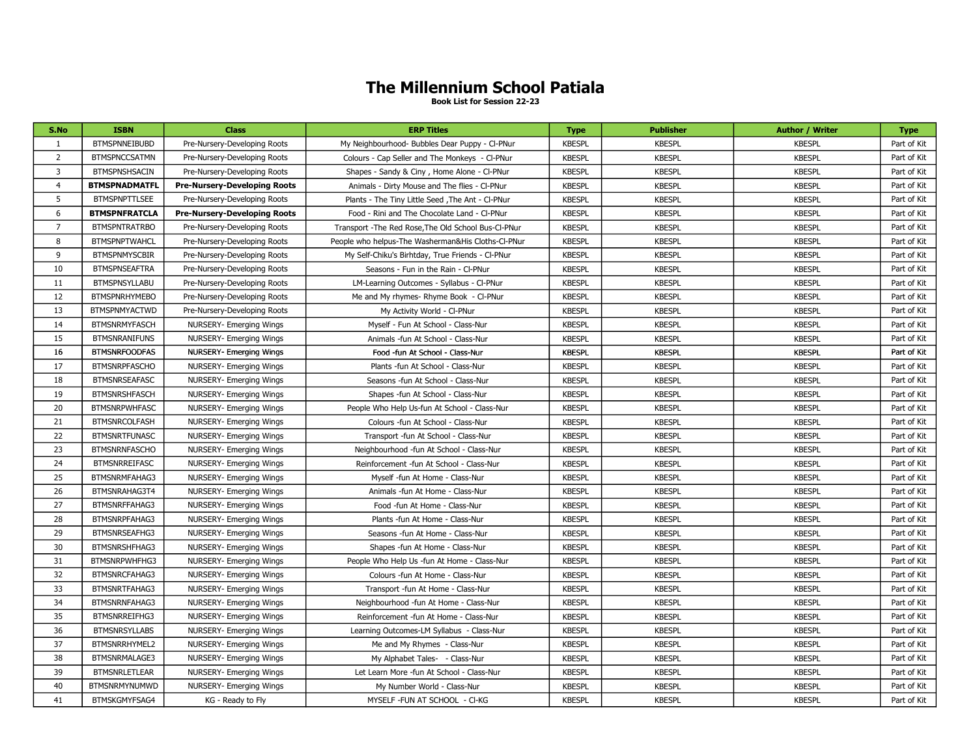## The Millennium School Patiala

Book List for Session 22-23

| S.No           | <b>ISBN</b>          | <b>Class</b>                        | <b>ERP Titles</b>                                    | <b>Type</b>   | <b>Publisher</b> | <b>Author / Writer</b> | <b>Type</b> |
|----------------|----------------------|-------------------------------------|------------------------------------------------------|---------------|------------------|------------------------|-------------|
| 1              | <b>BTMSPNNEIBUBD</b> | Pre-Nursery-Developing Roots        | My Neighbourhood- Bubbles Dear Puppy - Cl-PNur       | <b>KBESPL</b> | <b>KBESPL</b>    | <b>KBESPL</b>          | Part of Kit |
| $\overline{2}$ | <b>BTMSPNCCSATMN</b> | Pre-Nursery-Developing Roots        | Colours - Cap Seller and The Monkeys - CI-PNur       | <b>KBESPL</b> | <b>KBESPL</b>    | <b>KBESPL</b>          | Part of Kit |
| 3              | <b>BTMSPNSHSACIN</b> | Pre-Nursery-Developing Roots        | Shapes - Sandy & Ciny, Home Alone - Cl-PNur          | <b>KBESPL</b> | <b>KBESPL</b>    | <b>KBESPL</b>          | Part of Kit |
| $\overline{4}$ | <b>BTMSPNADMATFL</b> | <b>Pre-Nursery-Developing Roots</b> | Animals - Dirty Mouse and The flies - CI-PNur        | <b>KBESPL</b> | <b>KBESPL</b>    | <b>KBESPL</b>          | Part of Kit |
| 5              | <b>BTMSPNPTTLSEE</b> | Pre-Nursery-Developing Roots        | Plants - The Tiny Little Seed , The Ant - CI-PNur    | <b>KBESPL</b> | <b>KBESPL</b>    | <b>KBESPL</b>          | Part of Kit |
| 6              | <b>BTMSPNFRATCLA</b> | <b>Pre-Nursery-Developing Roots</b> | Food - Rini and The Chocolate Land - CI-PNur         | <b>KBESPL</b> | <b>KBESPL</b>    | <b>KBESPL</b>          | Part of Kit |
| $\overline{7}$ | <b>BTMSPNTRATRBO</b> | Pre-Nursery-Developing Roots        | Transport - The Red Rose, The Old School Bus-CI-PNur | <b>KBESPL</b> | <b>KBESPL</b>    | <b>KBESPL</b>          | Part of Kit |
| 8              | <b>BTMSPNPTWAHCL</b> | Pre-Nursery-Developing Roots        | People who helpus-The Washerman&His Cloths-Cl-PNur   | <b>KBESPL</b> | <b>KBESPL</b>    | <b>KBESPL</b>          | Part of Kit |
| 9              | <b>BTMSPNMYSCBIR</b> | Pre-Nursery-Developing Roots        | My Self-Chiku's Birhtday, True Friends - Cl-PNur     | <b>KBESPL</b> | <b>KBESPL</b>    | <b>KBESPL</b>          | Part of Kit |
| 10             | <b>BTMSPNSEAFTRA</b> | Pre-Nursery-Developing Roots        | Seasons - Fun in the Rain - Cl-PNur                  | <b>KBESPL</b> | <b>KBESPL</b>    | <b>KBESPL</b>          | Part of Kit |
| 11             | <b>BTMSPNSYLLABU</b> | Pre-Nursery-Developing Roots        | LM-Learning Outcomes - Syllabus - CI-PNur            | <b>KBESPL</b> | <b>KBESPL</b>    | <b>KBESPL</b>          | Part of Kit |
| 12             | <b>BTMSPNRHYMEBO</b> | Pre-Nursery-Developing Roots        | Me and My rhymes- Rhyme Book - CI-PNur               | <b>KBESPL</b> | <b>KBESPL</b>    | <b>KBESPL</b>          | Part of Kit |
| 13             | <b>BTMSPNMYACTWD</b> | Pre-Nursery-Developing Roots        | My Activity World - CI-PNur                          | <b>KBESPL</b> | <b>KBESPL</b>    | <b>KBESPL</b>          | Part of Kit |
| 14             | <b>BTMSNRMYFASCH</b> | <b>NURSERY- Emerging Wings</b>      | Myself - Fun At School - Class-Nur                   | <b>KBESPL</b> | <b>KBESPL</b>    | <b>KBESPL</b>          | Part of Kit |
| 15             | <b>BTMSNRANIFUNS</b> | NURSERY- Emerging Wings             | Animals -fun At School - Class-Nur                   | <b>KBESPL</b> | <b>KBESPL</b>    | <b>KBESPL</b>          | Part of Kit |
| 16             | <b>BTMSNRFOODFAS</b> | <b>NURSERY- Emerging Wings</b>      | Food -fun At School - Class-Nur                      | <b>KBESPL</b> | <b>KBESPL</b>    | <b>KBESPL</b>          | Part of Kit |
| 17             | <b>BTMSNRPFASCHO</b> | NURSERY- Emerging Wings             | Plants -fun At School - Class-Nur                    | <b>KBESPL</b> | <b>KBESPL</b>    | <b>KBESPL</b>          | Part of Kit |
| 18             | <b>BTMSNRSEAFASC</b> | <b>NURSERY- Emerging Wings</b>      | Seasons -fun At School - Class-Nur                   | <b>KBESPL</b> | <b>KBESPL</b>    | <b>KBESPL</b>          | Part of Kit |
| 19             | <b>BTMSNRSHFASCH</b> | NURSERY- Emerging Wings             | Shapes -fun At School - Class-Nur                    | <b>KBESPL</b> | <b>KBESPL</b>    | <b>KBESPL</b>          | Part of Kit |
| 20             | <b>BTMSNRPWHFASC</b> | NURSERY- Emerging Wings             | People Who Help Us-fun At School - Class-Nur         | <b>KBESPL</b> | <b>KBESPL</b>    | <b>KBESPL</b>          | Part of Kit |
| 21             | <b>BTMSNRCOLFASH</b> | <b>NURSERY- Emerging Wings</b>      | Colours -fun At School - Class-Nur                   | <b>KBESPL</b> | <b>KBESPL</b>    | <b>KBESPL</b>          | Part of Kit |
| 22             | <b>BTMSNRTFUNASC</b> | <b>NURSERY- Emerging Wings</b>      | Transport -fun At School - Class-Nur                 | <b>KBESPL</b> | <b>KBESPL</b>    | <b>KBESPL</b>          | Part of Kit |
| 23             | <b>BTMSNRNFASCHO</b> | NURSERY- Emerging Wings             | Neighbourhood -fun At School - Class-Nur             | <b>KBESPL</b> | <b>KBESPL</b>    | <b>KBESPL</b>          | Part of Kit |
| 24             | <b>BTMSNRREIFASC</b> | NURSERY- Emerging Wings             | Reinforcement -fun At School - Class-Nur             | <b>KBESPL</b> | <b>KBESPL</b>    | <b>KBESPL</b>          | Part of Kit |
| 25             | BTMSNRMFAHAG3        | NURSERY- Emerging Wings             | Myself -fun At Home - Class-Nur                      | <b>KBESPL</b> | <b>KBESPL</b>    | <b>KBESPL</b>          | Part of Kit |
| 26             | BTMSNRAHAG3T4        | <b>NURSERY- Emerging Wings</b>      | Animals -fun At Home - Class-Nur                     | <b>KBESPL</b> | <b>KBESPL</b>    | <b>KBESPL</b>          | Part of Kit |
| 27             | BTMSNRFFAHAG3        | <b>NURSERY- Emerging Wings</b>      | Food -fun At Home - Class-Nur                        | <b>KBESPL</b> | <b>KBESPL</b>    | <b>KBESPL</b>          | Part of Kit |
| 28             | BTMSNRPFAHAG3        | <b>NURSERY- Emerging Wings</b>      | Plants -fun At Home - Class-Nur                      | <b>KBESPL</b> | <b>KBESPL</b>    | <b>KBESPL</b>          | Part of Kit |
| 29             | BTMSNRSEAFHG3        | NURSERY- Emerging Wings             | Seasons -fun At Home - Class-Nur                     | <b>KBESPL</b> | <b>KBESPL</b>    | <b>KBESPL</b>          | Part of Kit |
| 30             | BTMSNRSHFHAG3        | NURSERY- Emerging Wings             | Shapes - fun At Home - Class-Nur                     | <b>KBESPL</b> | <b>KBESPL</b>    | <b>KBESPL</b>          | Part of Kit |
| 31             | BTMSNRPWHFHG3        | NURSERY- Emerging Wings             | People Who Help Us -fun At Home - Class-Nur          | <b>KBESPL</b> | <b>KBESPL</b>    | <b>KBESPL</b>          | Part of Kit |
| 32             | BTMSNRCFAHAG3        | <b>NURSERY- Emerging Wings</b>      | Colours -fun At Home - Class-Nur                     | <b>KBESPL</b> | <b>KBESPL</b>    | <b>KBESPL</b>          | Part of Kit |
| 33             | BTMSNRTFAHAG3        | <b>NURSERY- Emerging Wings</b>      | Transport -fun At Home - Class-Nur                   | <b>KBESPL</b> | <b>KBESPL</b>    | <b>KBESPL</b>          | Part of Kit |
| 34             | BTMSNRNFAHAG3        | NURSERY- Emerging Wings             | Neighbourhood -fun At Home - Class-Nur               | <b>KBESPL</b> | <b>KBESPL</b>    | <b>KBESPL</b>          | Part of Kit |
| 35             | BTMSNRREIFHG3        | <b>NURSERY- Emerging Wings</b>      | Reinforcement -fun At Home - Class-Nur               | <b>KBESPL</b> | <b>KBESPL</b>    | <b>KBESPL</b>          | Part of Kit |
| 36             | <b>BTMSNRSYLLABS</b> | NURSERY- Emerging Wings             | Learning Outcomes-LM Syllabus - Class-Nur            | <b>KBESPL</b> | <b>KBESPL</b>    | <b>KBESPL</b>          | Part of Kit |
| 37             | BTMSNRRHYMEL2        | <b>NURSERY- Emerging Wings</b>      | Me and My Rhymes - Class-Nur                         | <b>KBESPL</b> | <b>KBESPL</b>    | <b>KBESPL</b>          | Part of Kit |
| 38             | BTMSNRMALAGE3        | NURSERY- Emerging Wings             | My Alphabet Tales- - Class-Nur                       | <b>KBESPL</b> | <b>KBESPL</b>    | <b>KBESPL</b>          | Part of Kit |
| 39             | <b>BTMSNRLETLEAR</b> | NURSERY- Emerging Wings             | Let Learn More -fun At School - Class-Nur            | <b>KBESPL</b> | <b>KBESPL</b>    | <b>KBESPL</b>          | Part of Kit |
| 40             | <b>BTMSNRMYNUMWD</b> | <b>NURSERY- Emerging Wings</b>      | My Number World - Class-Nur                          | <b>KBESPL</b> | <b>KBESPL</b>    | <b>KBESPL</b>          | Part of Kit |
| 41             | BTMSKGMYFSAG4        | KG - Ready to Fly                   | MYSELF - FUN AT SCHOOL - CI-KG                       | <b>KBESPL</b> | <b>KBESPL</b>    | <b>KBESPL</b>          | Part of Kit |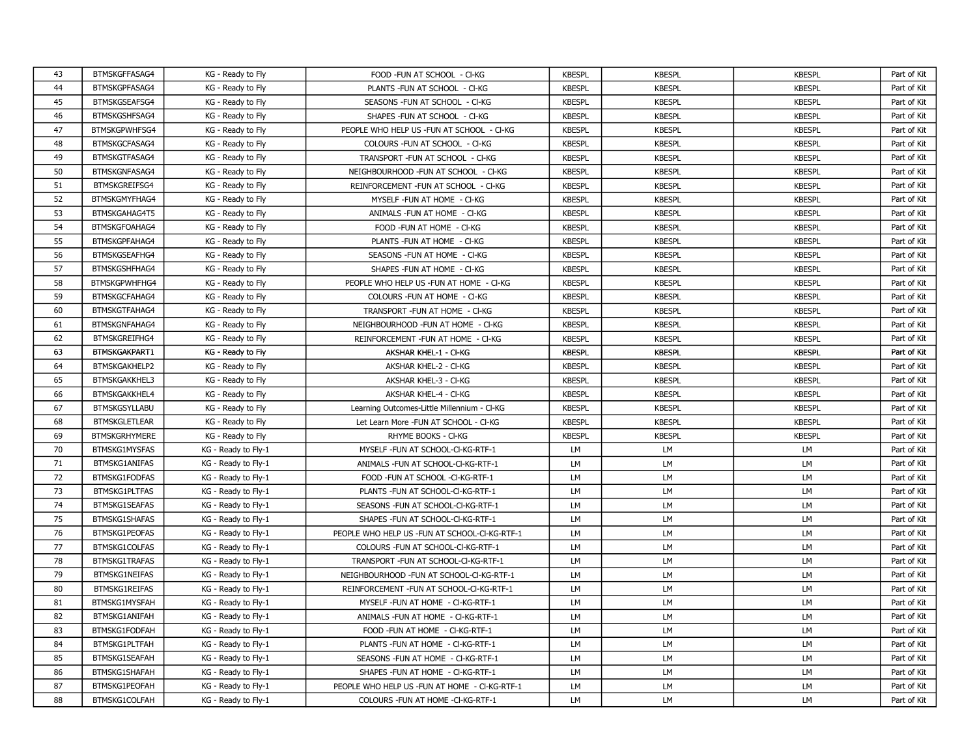| 43 | BTMSKGFFASAG4        | KG - Ready to Fly   | FOOD - FUN AT SCHOOL - CI-KG                  | <b>KBESPL</b> | <b>KBESPL</b> | <b>KBESPL</b> | Part of Kit |
|----|----------------------|---------------------|-----------------------------------------------|---------------|---------------|---------------|-------------|
| 44 | BTMSKGPFASAG4        | KG - Ready to Fly   | PLANTS - FUN AT SCHOOL - CI-KG                | <b>KBESPL</b> | <b>KBESPL</b> | <b>KBESPL</b> | Part of Kit |
| 45 | BTMSKGSEAFSG4        | KG - Ready to Fly   | SEASONS - FUN AT SCHOOL - CI-KG               | <b>KBESPL</b> | <b>KBESPL</b> | <b>KBESPL</b> | Part of Kit |
| 46 | BTMSKGSHFSAG4        | KG - Ready to Fly   | SHAPES - FUN AT SCHOOL - CI-KG                | <b>KBESPL</b> | <b>KBESPL</b> | <b>KBESPL</b> | Part of Kit |
| 47 | BTMSKGPWHFSG4        | KG - Ready to Fly   | PEOPLE WHO HELP US -FUN AT SCHOOL - CI-KG     | <b>KBESPL</b> | <b>KBESPL</b> | <b>KBESPL</b> | Part of Kit |
| 48 | BTMSKGCFASAG4        | KG - Ready to Fly   | COLOURS - FUN AT SCHOOL - CI-KG               | <b>KBESPL</b> | <b>KBESPL</b> | <b>KBESPL</b> | Part of Kit |
| 49 | BTMSKGTFASAG4        | KG - Ready to Fly   | TRANSPORT - FUN AT SCHOOL - CI-KG             | <b>KBESPL</b> | <b>KBESPL</b> | <b>KBESPL</b> | Part of Kit |
| 50 | <b>BTMSKGNFASAG4</b> | KG - Ready to Fly   | NEIGHBOURHOOD - FUN AT SCHOOL - CI-KG         | <b>KBESPL</b> | <b>KBESPL</b> | <b>KBESPL</b> | Part of Kit |
| 51 | BTMSKGREIFSG4        | KG - Ready to Fly   | REINFORCEMENT - FUN AT SCHOOL - CI-KG         | <b>KBESPL</b> | <b>KBESPL</b> | <b>KBESPL</b> | Part of Kit |
| 52 | BTMSKGMYFHAG4        | KG - Ready to Fly   | MYSELF - FUN AT HOME - CI-KG                  | <b>KBESPL</b> | <b>KBESPL</b> | <b>KBESPL</b> | Part of Kit |
| 53 | BTMSKGAHAG4T5        | KG - Ready to Fly   | ANIMALS - FUN AT HOME - CI-KG                 | <b>KBESPL</b> | <b>KBESPL</b> | <b>KBESPL</b> | Part of Kit |
| 54 | BTMSKGFOAHAG4        | KG - Ready to Fly   | FOOD -FUN AT HOME - CI-KG                     | <b>KBESPL</b> | <b>KBESPL</b> | <b>KBESPL</b> | Part of Kit |
| 55 | BTMSKGPFAHAG4        | KG - Ready to Fly   | PLANTS - FUN AT HOME - CI-KG                  | <b>KBESPL</b> | <b>KBESPL</b> | <b>KBESPL</b> | Part of Kit |
| 56 | BTMSKGSEAFHG4        | KG - Ready to Fly   | SEASONS - FUN AT HOME - CI-KG                 | <b>KBESPL</b> | <b>KBESPL</b> | <b>KBESPL</b> | Part of Kit |
| 57 | BTMSKGSHFHAG4        | KG - Ready to Fly   | SHAPES - FUN AT HOME - CI-KG                  | <b>KBESPL</b> | <b>KBESPL</b> | <b>KBESPL</b> | Part of Kit |
| 58 | BTMSKGPWHFHG4        | KG - Ready to Fly   | PEOPLE WHO HELP US -FUN AT HOME - CI-KG       | <b>KBESPL</b> | <b>KBESPL</b> | <b>KBESPL</b> | Part of Kit |
| 59 | BTMSKGCFAHAG4        | KG - Ready to Fly   | COLOURS - FUN AT HOME - CI-KG                 | <b>KBESPL</b> | <b>KBESPL</b> | <b>KBESPL</b> | Part of Kit |
| 60 | BTMSKGTFAHAG4        | KG - Ready to Fly   | TRANSPORT - FUN AT HOME - CI-KG               | <b>KBESPL</b> | <b>KBESPL</b> | <b>KBESPL</b> | Part of Kit |
| 61 | BTMSKGNFAHAG4        | KG - Ready to Fly   | NEIGHBOURHOOD - FUN AT HOME - CI-KG           | <b>KBESPL</b> | <b>KBESPL</b> | <b>KBESPL</b> | Part of Kit |
| 62 | BTMSKGREIFHG4        | KG - Ready to Fly   | REINFORCEMENT - FUN AT HOME - CI-KG           | <b>KBESPL</b> | <b>KBESPL</b> | <b>KBESPL</b> | Part of Kit |
| 63 | BTMSKGAKPART1        | KG - Ready to Fly   | AKSHAR KHEL-1 - CI-KG                         | <b>KBESPL</b> | <b>KBESPL</b> | <b>KBESPL</b> | Part of Kit |
| 64 | <b>BTMSKGAKHELP2</b> | KG - Ready to Fly   | AKSHAR KHEL-2 - CI-KG                         | <b>KBESPL</b> | <b>KBESPL</b> | <b>KBESPL</b> | Part of Kit |
| 65 | BTMSKGAKKHEL3        | KG - Ready to Fly   | AKSHAR KHEL-3 - CI-KG                         | <b>KBESPL</b> | <b>KBESPL</b> | <b>KBESPL</b> | Part of Kit |
| 66 | <b>BTMSKGAKKHEL4</b> | KG - Ready to Fly   | AKSHAR KHEL-4 - CI-KG                         | <b>KBESPL</b> | <b>KBESPL</b> | <b>KBESPL</b> | Part of Kit |
| 67 | <b>BTMSKGSYLLABU</b> | KG - Ready to Fly   | Learning Outcomes-Little Millennium - CI-KG   | <b>KBESPL</b> | <b>KBESPL</b> | <b>KBESPL</b> | Part of Kit |
| 68 | <b>BTMSKGLETLEAR</b> | KG - Ready to Fly   | Let Learn More - FUN AT SCHOOL - CI-KG        | <b>KBESPL</b> | <b>KBESPL</b> | <b>KBESPL</b> | Part of Kit |
| 69 | <b>BTMSKGRHYMERE</b> | KG - Ready to Fly   | RHYME BOOKS - CI-KG                           | <b>KBESPL</b> | <b>KBESPL</b> | <b>KBESPL</b> | Part of Kit |
| 70 | BTMSKG1MYSFAS        | KG - Ready to Fly-1 | MYSELF - FUN AT SCHOOL-CI-KG-RTF-1            | LM            | LM            | LM            | Part of Kit |
| 71 | <b>BTMSKG1ANIFAS</b> | KG - Ready to Fly-1 | ANIMALS - FUN AT SCHOOL-CI-KG-RTF-1           | LM            | LM            | LM            | Part of Kit |
| 72 | <b>BTMSKG1FODFAS</b> | KG - Ready to Fly-1 | FOOD -FUN AT SCHOOL -CI-KG-RTF-1              | <b>LM</b>     | LM            | LM            | Part of Kit |
| 73 | BTMSKG1PLTFAS        | KG - Ready to Fly-1 | PLANTS - FUN AT SCHOOL-CI-KG-RTF-1            | LM            | LM            | LM            | Part of Kit |
| 74 | <b>BTMSKG1SEAFAS</b> | KG - Ready to Fly-1 | SEASONS - FUN AT SCHOOL-CI-KG-RTF-1           | <b>LM</b>     | LM            | LM            | Part of Kit |
| 75 | <b>BTMSKG1SHAFAS</b> | KG - Ready to Fly-1 | SHAPES - FUN AT SCHOOL-CI-KG-RTF-1            | <b>LM</b>     | LM            | LM            | Part of Kit |
| 76 | BTMSKG1PEOFAS        | KG - Ready to Fly-1 | PEOPLE WHO HELP US -FUN AT SCHOOL-CI-KG-RTF-1 | LM            | LM            | LM            | Part of Kit |
| 77 | BTMSKG1COLFAS        | KG - Ready to Fly-1 | COLOURS - FUN AT SCHOOL-CI-KG-RTF-1           | <b>LM</b>     | LM            | LM            | Part of Kit |
| 78 | BTMSKG1TRAFAS        | KG - Ready to Fly-1 | TRANSPORT - FUN AT SCHOOL-CI-KG-RTF-1         | <b>LM</b>     | LM            | <b>LM</b>     | Part of Kit |
| 79 | <b>BTMSKG1NEIFAS</b> | KG - Ready to Fly-1 | NEIGHBOURHOOD - FUN AT SCHOOL-CI-KG-RTF-1     | LM            | LM            | LM            | Part of Kit |
| 80 | <b>BTMSKG1REIFAS</b> | KG - Ready to Fly-1 | REINFORCEMENT - FUN AT SCHOOL-CI-KG-RTF-1     | LM            | LM            | LM            | Part of Kit |
| 81 | BTMSKG1MYSFAH        | KG - Ready to Fly-1 | MYSELF - FUN AT HOME - CI-KG-RTF-1            | LM            | LM            | LM            | Part of Kit |
| 82 | BTMSKG1ANIFAH        | KG - Ready to Fly-1 | ANIMALS - FUN AT HOME - CI-KG-RTF-1           | LM            | LM            | LM            | Part of Kit |
| 83 | BTMSKG1FODFAH        | KG - Ready to Fly-1 | FOOD - FUN AT HOME - CI-KG-RTF-1              | LM            | LM            | LM            | Part of Kit |
| 84 | BTMSKG1PLTFAH        | KG - Ready to Fly-1 | PLANTS - FUN AT HOME - CI-KG-RTF-1            | LM            | LM            | LM            | Part of Kit |
| 85 | BTMSKG1SEAFAH        | KG - Ready to Fly-1 | SEASONS - FUN AT HOME - CI-KG-RTF-1           | LM            | LM            | LM            | Part of Kit |
| 86 | <b>BTMSKG1SHAFAH</b> | KG - Ready to Fly-1 | SHAPES - FUN AT HOME - CI-KG-RTF-1            | LM            | LM            | LM            | Part of Kit |
| 87 | BTMSKG1PEOFAH        | KG - Ready to Fly-1 | PEOPLE WHO HELP US -FUN AT HOME - CI-KG-RTF-1 | LM            | LM            | LM            | Part of Kit |
| 88 | BTMSKG1COLFAH        | KG - Ready to Fly-1 | COLOURS - FUN AT HOME - CI-KG-RTF-1           | LM            | LM            | <b>LM</b>     | Part of Kit |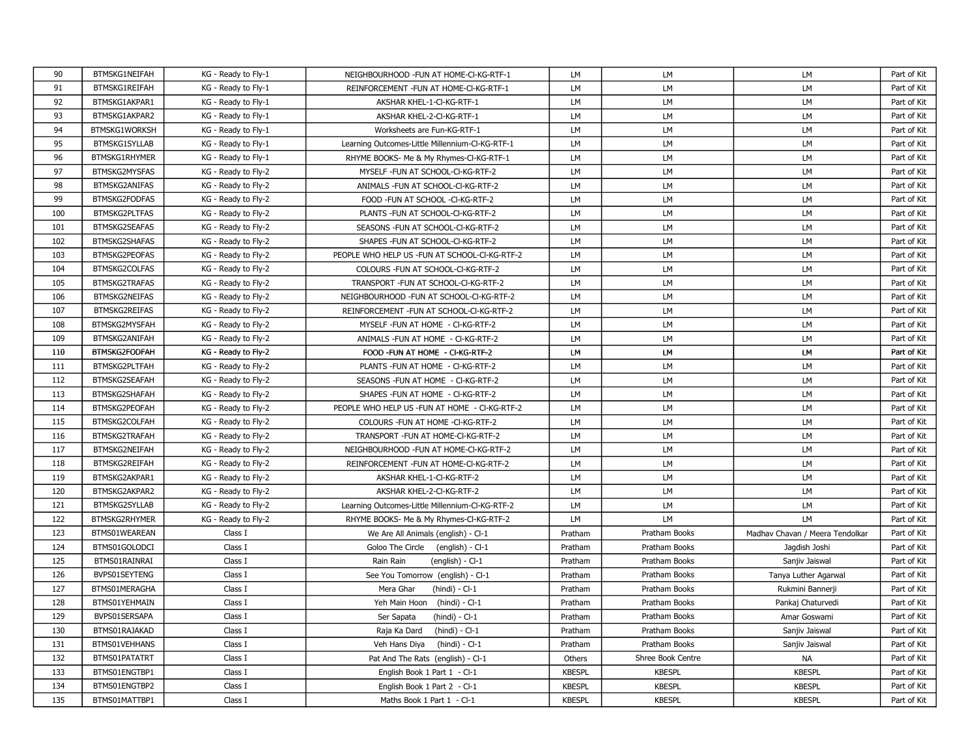| 90  | BTMSKG1NEIFAH        | KG - Ready to Fly-1 | NEIGHBOURHOOD - FUN AT HOME-CI-KG-RTF-1         | <b>LM</b>     | <b>LM</b>         | LM                              | Part of Kit |
|-----|----------------------|---------------------|-------------------------------------------------|---------------|-------------------|---------------------------------|-------------|
| 91  | BTMSKG1REIFAH        | KG - Ready to Fly-1 | REINFORCEMENT - FUN AT HOME-CI-KG-RTF-1         | LM            | LM                | LM                              | Part of Kit |
| 92  | BTMSKG1AKPAR1        | KG - Ready to Fly-1 | AKSHAR KHEL-1-CI-KG-RTF-1                       | <b>LM</b>     | LM                | LM                              | Part of Kit |
| 93  | BTMSKG1AKPAR2        | KG - Ready to Fly-1 | AKSHAR KHEL-2-CI-KG-RTF-1                       | <b>LM</b>     | LM                | LM                              | Part of Kit |
| 94  | BTMSKG1WORKSH        | KG - Ready to Fly-1 | Worksheets are Fun-KG-RTF-1                     | <b>LM</b>     | <b>LM</b>         | LM                              | Part of Kit |
| 95  | BTMSKG1SYLLAB        | KG - Ready to Fly-1 | Learning Outcomes-Little Millennium-CI-KG-RTF-1 | <b>LM</b>     | LM                | LM                              | Part of Kit |
| 96  | <b>BTMSKG1RHYMER</b> | KG - Ready to Fly-1 | RHYME BOOKS- Me & My Rhymes-CI-KG-RTF-1         | <b>LM</b>     | <b>LM</b>         | LM                              | Part of Kit |
| 97  | BTMSKG2MYSFAS        | KG - Ready to Fly-2 | MYSELF - FUN AT SCHOOL-CI-KG-RTF-2              | LM            | LM                | LM                              | Part of Kit |
| 98  | <b>BTMSKG2ANIFAS</b> | KG - Ready to Fly-2 | ANIMALS - FUN AT SCHOOL-CI-KG-RTF-2             | <b>LM</b>     | <b>LM</b>         | LM                              | Part of Kit |
| 99  | BTMSKG2FODFAS        | KG - Ready to Fly-2 | FOOD -FUN AT SCHOOL -CI-KG-RTF-2                | <b>LM</b>     | LM                | LM                              | Part of Kit |
| 100 | BTMSKG2PLTFAS        | KG - Ready to Fly-2 | PLANTS - FUN AT SCHOOL-CI-KG-RTF-2              | <b>LM</b>     | <b>LM</b>         | LM                              | Part of Kit |
| 101 | BTMSKG2SEAFAS        | KG - Ready to Fly-2 | SEASONS - FUN AT SCHOOL-CI-KG-RTF-2             | LM            | LM                | LM                              | Part of Kit |
| 102 | <b>BTMSKG2SHAFAS</b> | KG - Ready to Fly-2 | SHAPES - FUN AT SCHOOL-CI-KG-RTF-2              | <b>LM</b>     | LM                | LM                              | Part of Kit |
| 103 | BTMSKG2PEOFAS        | KG - Ready to Fly-2 | PEOPLE WHO HELP US -FUN AT SCHOOL-CI-KG-RTF-2   | LМ            | LM                | LM                              | Part of Kit |
| 104 | BTMSKG2COLFAS        | KG - Ready to Fly-2 | COLOURS - FUN AT SCHOOL-CI-KG-RTF-2             | <b>LM</b>     | LM                | LM                              | Part of Kit |
| 105 | BTMSKG2TRAFAS        | KG - Ready to Fly-2 | TRANSPORT - FUN AT SCHOOL-CI-KG-RTF-2           | LM            | LM                | LM                              | Part of Kit |
| 106 | <b>BTMSKG2NEIFAS</b> | KG - Ready to Fly-2 | NEIGHBOURHOOD - FUN AT SCHOOL-CI-KG-RTF-2       | LM            | LM                | LM                              | Part of Kit |
| 107 | BTMSKG2REIFAS        | KG - Ready to Fly-2 | REINFORCEMENT - FUN AT SCHOOL-CI-KG-RTF-2       | LM            | LM                | LM                              | Part of Kit |
| 108 | BTMSKG2MYSFAH        | KG - Ready to Fly-2 | MYSELF-FUN AT HOME - CI-KG-RTF-2                | <b>LM</b>     | LM                | LM                              | Part of Kit |
| 109 | BTMSKG2ANIFAH        | KG - Ready to Fly-2 | ANIMALS - FUN AT HOME - CI-KG-RTF-2             | LM            | LM                | LM                              | Part of Kit |
| 110 | <b>BTMSKG2FODFAH</b> | KG - Ready to Fly-2 | FOOD -FUN AT HOME - CI-KG-RTF-2                 | LM.           | LM                | LM                              | Part of Kit |
| 111 | BTMSKG2PLTFAH        | KG - Ready to Fly-2 | PLANTS - FUN AT HOME - CI-KG-RTF-2              | <b>LM</b>     | LM                | LM                              | Part of Kit |
| 112 | BTMSKG2SEAFAH        | KG - Ready to Fly-2 | SEASONS - FUN AT HOME - CI-KG-RTF-2             | <b>LM</b>     | LM                | LM                              | Part of Kit |
| 113 | BTMSKG2SHAFAH        | KG - Ready to Fly-2 | SHAPES - FUN AT HOME - CI-KG-RTF-2              | LM            | LM                | LM                              | Part of Kit |
| 114 | BTMSKG2PEOFAH        | KG - Ready to Fly-2 | PEOPLE WHO HELP US - FUN AT HOME - CI-KG-RTF-2  | LM            | <b>LM</b>         | LM                              | Part of Kit |
| 115 | BTMSKG2COLFAH        | KG - Ready to Fly-2 | COLOURS - FUN AT HOME - CI-KG-RTF-2             | <b>LM</b>     | LM                | LM                              | Part of Kit |
| 116 | BTMSKG2TRAFAH        | KG - Ready to Fly-2 | TRANSPORT - FUN AT HOME-CI-KG-RTF-2             | LM            | LM                | LM                              | Part of Kit |
| 117 | BTMSKG2NEIFAH        | KG - Ready to Fly-2 | NEIGHBOURHOOD - FUN AT HOME-CI-KG-RTF-2         | LM            | LM                | LM                              | Part of Kit |
| 118 | <b>BTMSKG2REIFAH</b> | KG - Ready to Fly-2 | REINFORCEMENT - FUN AT HOME-CI-KG-RTF-2         | LM            | LM                | LM                              | Part of Kit |
| 119 | BTMSKG2AKPAR1        | KG - Ready to Fly-2 | AKSHAR KHEL-1-CI-KG-RTF-2                       | LМ            | LM                | LM                              | Part of Kit |
| 120 | BTMSKG2AKPAR2        | KG - Ready to Fly-2 | AKSHAR KHEL-2-CI-KG-RTF-2                       | LM            | LM                | LM                              | Part of Kit |
| 121 | BTMSKG2SYLLAB        | KG - Ready to Fly-2 | Learning Outcomes-Little Millennium-Cl-KG-RTF-2 | LM            | LM                | LM                              | Part of Kit |
| 122 | <b>BTMSKG2RHYMER</b> | KG - Ready to Fly-2 | RHYME BOOKS- Me & My Rhymes-CI-KG-RTF-2         | LM            | LM                | LM                              | Part of Kit |
| 123 | BTMS01WEAREAN        | Class I             | We Are All Animals (english) - Cl-1             | Pratham       | Pratham Books     | Madhav Chavan / Meera Tendolkar | Part of Kit |
| 124 | BTMS01GOLODCI        | Class I             | Goloo The Circle (english) - Cl-1               | Pratham       | Pratham Books     | Jagdish Joshi                   | Part of Kit |
| 125 | BTMS01RAINRAI        | Class I             | Rain Rain<br>$(english) - Cl-1$                 | Pratham       | Pratham Books     | Sanjiv Jaiswal                  | Part of Kit |
| 126 | BVPS01SEYTENG        | Class I             | See You Tomorrow (english) - Cl-1               | Pratham       | Pratham Books     | Tanya Luther Agarwal            | Part of Kit |
| 127 | BTMS01MERAGHA        | Class I             | Mera Ghar<br>$(hindi) - Cl-1$                   | Pratham       | Pratham Books     | Rukmini Bannerji                | Part of Kit |
| 128 | BTMS01YEHMAIN        | Class I             | Yeh Main Hoon (hindi) - Cl-1                    | Pratham       | Pratham Books     | Pankaj Chaturvedi               | Part of Kit |
| 129 | BVPS01SERSAPA        | Class I             | Ser Sapata<br>$(hindi) - Cl-1$                  | Pratham       | Pratham Books     | Amar Goswami                    | Part of Kit |
| 130 | BTMS01RAJAKAD        | Class I             | Raja Ka Dard<br>$(hindi) - Cl-1$                | Pratham       | Pratham Books     | Sanjiv Jaiswal                  | Part of Kit |
| 131 | BTMS01VEHHANS        | Class I             | Veh Hans Diya<br>(hindi) - Cl-1                 | Pratham       | Pratham Books     | Sanjiv Jaiswal                  | Part of Kit |
| 132 | BTMS01PATATRT        | Class I             | Pat And The Rats (english) - Cl-1               | Others        | Shree Book Centre | <b>NA</b>                       | Part of Kit |
| 133 | BTMS01ENGTBP1        | Class I             | English Book 1 Part 1 - Cl-1                    | <b>KBESPL</b> | <b>KBESPL</b>     | <b>KBESPL</b>                   | Part of Kit |
| 134 | BTMS01ENGTBP2        | Class I             | English Book 1 Part 2 - Cl-1                    | <b>KBESPL</b> | <b>KBESPL</b>     | <b>KBESPL</b>                   | Part of Kit |
| 135 | BTMS01MATTBP1        | Class I             | Maths Book 1 Part 1 - Cl-1                      | <b>KBESPL</b> | <b>KBESPL</b>     | <b>KBESPL</b>                   | Part of Kit |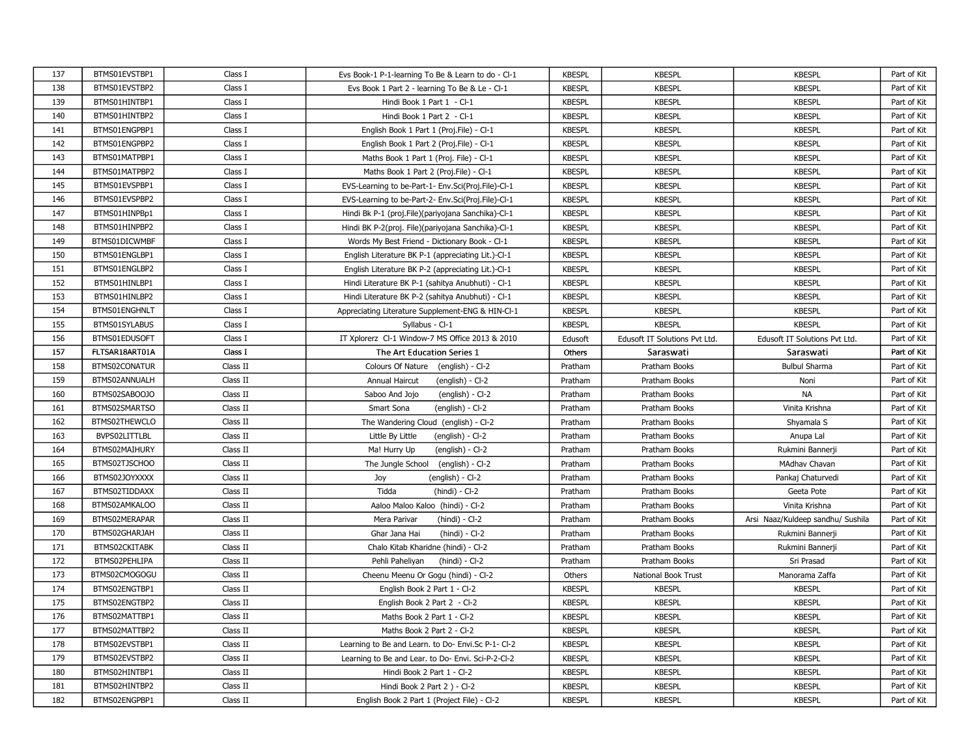| 137 | BTMS01EVSTBP1  | Class I  | Evs Book-1 P-1-learning To Be & Learn to do - Cl-1   | <b>KBESPL</b> | <b>KBESPL</b>                 | <b>KBESPL</b>                     | Part of Kit |
|-----|----------------|----------|------------------------------------------------------|---------------|-------------------------------|-----------------------------------|-------------|
| 138 | BTMS01EVSTBP2  | Class I  | Evs Book 1 Part 2 - learning To Be & Le - Cl-1       | <b>KBESPL</b> | <b>KBESPL</b>                 | <b>KBESPL</b>                     | Part of Kit |
| 139 | BTMS01HINTBP1  | Class I  | Hindi Book 1 Part 1 - Cl-1                           | <b>KBESPL</b> | <b>KBESPL</b>                 | <b>KBESPL</b>                     | Part of Kit |
| 140 | BTMS01HINTBP2  | Class I  | Hindi Book 1 Part 2 - Cl-1                           | <b>KBESPL</b> | <b>KBESPL</b>                 | <b>KBESPL</b>                     | Part of Kit |
| 141 | BTMS01ENGPBP1  | Class I  | English Book 1 Part 1 (Proj.File) - Cl-1             | <b>KBESPL</b> | <b>KBESPL</b>                 | <b>KBESPL</b>                     | Part of Kit |
| 142 | BTMS01ENGPBP2  | Class I  | English Book 1 Part 2 (Proj.File) - Cl-1             | <b>KBESPL</b> | <b>KBESPL</b>                 | <b>KBESPL</b>                     | Part of Kit |
| 143 | BTMS01MATPBP1  | Class I  | Maths Book 1 Part 1 (Proj. File) - Cl-1              | <b>KBESPL</b> | <b>KBESPL</b>                 | <b>KBESPL</b>                     | Part of Kit |
| 144 | BTMS01MATPBP2  | Class I  | Maths Book 1 Part 2 (Proj.File) - Cl-1               | <b>KBESPL</b> | <b>KBESPL</b>                 | <b>KBESPL</b>                     | Part of Kit |
| 145 | BTMS01EVSPBP1  | Class I  | EVS-Learning to be-Part-1- Env.Sci(Proj.File)-Cl-1   | <b>KBESPL</b> | <b>KBESPL</b>                 | <b>KBESPL</b>                     | Part of Kit |
| 146 | BTMS01EVSPBP2  | Class I  | EVS-Learning to be-Part-2- Env.Sci(Proj.File)-Cl-1   | <b>KBESPL</b> | <b>KBESPL</b>                 | <b>KBESPL</b>                     | Part of Kit |
| 147 | BTMS01HINPBp1  | Class I  | Hindi Bk P-1 (proj. File) (pariyojana Sanchika)-Cl-1 | <b>KBESPL</b> | <b>KBESPL</b>                 | <b>KBESPL</b>                     | Part of Kit |
| 148 | BTMS01HINPBP2  | Class I  | Hindi BK P-2(proj. File)(pariyojana Sanchika)-Cl-1   | <b>KBESPL</b> | <b>KBESPL</b>                 | <b>KBESPL</b>                     | Part of Kit |
| 149 | BTMS01DICWMBF  | Class I  | Words My Best Friend - Dictionary Book - Cl-1        | <b>KBESPL</b> | <b>KBESPL</b>                 | <b>KBESPL</b>                     | Part of Kit |
| 150 | BTMS01ENGLBP1  | Class I  | English Literature BK P-1 (appreciating Lit.)-Cl-1   | <b>KBESPL</b> | <b>KBESPL</b>                 | <b>KBESPL</b>                     | Part of Kit |
| 151 | BTMS01ENGLBP2  | Class I  | English Literature BK P-2 (appreciating Lit.)-Cl-1   | <b>KBESPL</b> | <b>KBESPL</b>                 | <b>KBESPL</b>                     | Part of Kit |
| 152 | BTMS01HINLBP1  | Class I  | Hindi Literature BK P-1 (sahitya Anubhuti) - Cl-1    | <b>KBESPL</b> | <b>KBESPL</b>                 | <b>KBESPL</b>                     | Part of Kit |
| 153 | BTMS01HINLBP2  | Class I  | Hindi Literature BK P-2 (sahitya Anubhuti) - Cl-1    | <b>KBESPL</b> | <b>KBESPL</b>                 | <b>KBESPL</b>                     | Part of Kit |
| 154 | BTMS01ENGHNLT  | Class I  | Appreciating Literature Supplement-ENG & HIN-Cl-1    | <b>KBESPL</b> | <b>KBESPL</b>                 | <b>KBESPL</b>                     | Part of Kit |
| 155 | BTMS01SYLABUS  | Class I  | Syllabus - Cl-1                                      | <b>KBESPL</b> | <b>KBESPL</b>                 | <b>KBESPL</b>                     | Part of Kit |
| 156 | BTMS01EDUSOFT  | Class I  | IT Xplorerz Cl-1 Window-7 MS Office 2013 & 2010      | Edusoft       | Edusoft IT Solutions Pvt Ltd. | Edusoft IT Solutions Pvt Ltd.     | Part of Kit |
| 157 | FLTSAR18ART01A | Class I  | The Art Education Series 1                           | Others        | Saraswati                     | Saraswati                         | Part of Kit |
| 158 | BTMS02CONATUR  | Class II | Colours Of Nature (english) - Cl-2                   | Pratham       | Pratham Books                 | <b>Bulbul Sharma</b>              | Part of Kit |
| 159 | BTMS02ANNUALH  | Class II | Annual Haircut<br>$(english) - Cl-2$                 | Pratham       | Pratham Books                 | Noni                              | Part of Kit |
| 160 | BTMS02SABOOJO  | Class II | Saboo And Jojo<br>(english) - Cl-2                   | Pratham       | Pratham Books                 | <b>NA</b>                         | Part of Kit |
| 161 | BTMS02SMARTSO  | Class II | Smart Sona<br>$(enqlish) - Cl-2$                     | Pratham       | Pratham Books                 | Vinita Krishna                    | Part of Kit |
| 162 | BTMS02THEWCLO  | Class II | The Wandering Cloud (english) - Cl-2                 | Pratham       | Pratham Books                 | Shyamala S                        | Part of Kit |
| 163 | BVPS02LITTLBL  | Class II | Little By Little<br>$($ english $) - C - 2$          | Pratham       | Pratham Books                 | Anupa Lal                         | Part of Kit |
| 164 | BTMS02MAIHURY  | Class II | Ma! Hurry Up<br>$($ english $) - CI - 2$             | Pratham       | Pratham Books                 | Rukmini Bannerji                  | Part of Kit |
| 165 | BTMS02TJSCHOO  | Class II | The Jungle School<br>(english) - Cl-2                | Pratham       | Pratham Books                 | MAdhav Chavan                     | Part of Kit |
| 166 | BTMS02JOYXXXX  | Class II | Joy<br>(english) - Cl-2                              | Pratham       | Pratham Books                 | Pankaj Chaturvedi                 | Part of Kit |
| 167 | BTMS02TIDDAXX  | Class II | Tidda<br>(hindi) - Cl-2                              | Pratham       | Pratham Books                 | Geeta Pote                        | Part of Kit |
| 168 | BTMS02AMKALOO  | Class II | Aaloo Maloo Kaloo (hindi) - Cl-2                     | Pratham       | Pratham Books                 | Vinita Krishna                    | Part of Kit |
| 169 | BTMS02MERAPAR  | Class II | Mera Parivar<br>$(hindi) - Cl-2$                     | Pratham       | Pratham Books                 | Arsi Naaz/Kuldeep sandhu/ Sushila | Part of Kit |
| 170 | BTMS02GHARJAH  | Class II | Ghar Jana Hai<br>(hindi) - Cl-2                      | Pratham       | Pratham Books                 | Rukmini Bannerji                  | Part of Kit |
| 171 | BTMS02CKITABK  | Class II | Chalo Kitab Kharidne (hindi) - Cl-2                  | Pratham       | Pratham Books                 | Rukmini Bannerji                  | Part of Kit |
| 172 | BTMS02PEHLIPA  | Class II | Pehli Paheliyan<br>(hindi) - Cl-2                    | Pratham       | Pratham Books                 | Sri Prasad                        | Part of Kit |
| 173 | BTMS02CMOGOGU  | Class II | Cheenu Meenu Or Gogu (hindi) - Cl-2                  | Others        | National Book Trust           | Manorama Zaffa                    | Part of Kit |
| 174 | BTMS02ENGTBP1  | Class II | English Book 2 Part 1 - Cl-2                         | <b>KBESPL</b> | <b>KBESPL</b>                 | <b>KBESPL</b>                     | Part of Kit |
| 175 | BTMS02ENGTBP2  | Class II | English Book 2 Part 2 - Cl-2                         | <b>KBESPL</b> | <b>KBESPL</b>                 | <b>KBESPL</b>                     | Part of Kit |
| 176 | BTMS02MATTBP1  | Class II | Maths Book 2 Part 1 - Cl-2                           | <b>KBESPL</b> | <b>KBESPL</b>                 | <b>KBESPL</b>                     | Part of Kit |
| 177 | BTMS02MATTBP2  | Class II | Maths Book 2 Part 2 - Cl-2                           | <b>KBESPL</b> | <b>KBESPL</b>                 | <b>KBESPL</b>                     | Part of Kit |
| 178 | BTMS02EVSTBP1  | Class II | Learning to Be and Learn. to Do- Envi.Sc P-1- Cl-2   | <b>KBESPL</b> | <b>KBESPL</b>                 | <b>KBESPL</b>                     | Part of Kit |
| 179 | BTMS02EVSTBP2  | Class II | Learning to Be and Lear. to Do- Envi. Sci-P-2-Cl-2   | <b>KBESPL</b> | <b>KBESPL</b>                 | <b>KBESPL</b>                     | Part of Kit |
| 180 | BTMS02HINTBP1  | Class II | Hindi Book 2 Part 1 - Cl-2                           | <b>KBESPL</b> | <b>KBESPL</b>                 | <b>KBESPL</b>                     | Part of Kit |
| 181 | BTMS02HINTBP2  | Class II | Hindi Book 2 Part 2 ) - Cl-2                         | <b>KBESPL</b> | <b>KBESPL</b>                 | <b>KBESPL</b>                     | Part of Kit |
| 182 | BTMS02ENGPBP1  | Class II | English Book 2 Part 1 (Project File) - Cl-2          | <b>KBESPL</b> | <b>KBESPL</b>                 | <b>KBESPL</b>                     | Part of Kit |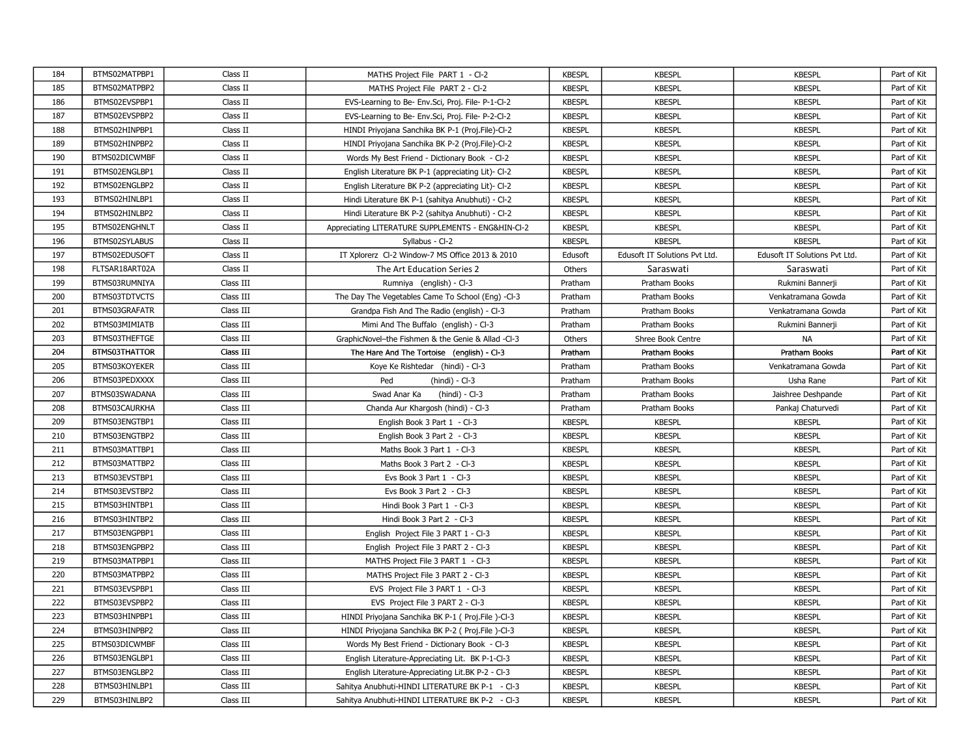| 184 | BTMS02MATPBP1  | Class II  | MATHS Project File PART 1 - Cl-2                   | <b>KBESPL</b> | <b>KBESPL</b>                 | <b>KBESPL</b>                 | Part of Kit |
|-----|----------------|-----------|----------------------------------------------------|---------------|-------------------------------|-------------------------------|-------------|
| 185 | BTMS02MATPBP2  | Class II  | MATHS Project File PART 2 - Cl-2                   | <b>KBESPL</b> | <b>KBESPL</b>                 | <b>KBESPL</b>                 | Part of Kit |
| 186 | BTMS02EVSPBP1  | Class II  | EVS-Learning to Be- Env.Sci, Proj. File- P-1-Cl-2  | <b>KBESPL</b> | <b>KBESPL</b>                 | <b>KBESPL</b>                 | Part of Kit |
| 187 | BTMS02EVSPBP2  | Class II  | EVS-Learning to Be- Env.Sci, Proj. File- P-2-Cl-2  | <b>KBESPL</b> | <b>KBESPL</b>                 | <b>KBESPL</b>                 | Part of Kit |
| 188 | BTMS02HINPBP1  | Class II  | HINDI Priyojana Sanchika BK P-1 (Proj.File)-Cl-2   | <b>KBESPL</b> | <b>KBESPL</b>                 | <b>KBESPL</b>                 | Part of Kit |
| 189 | BTMS02HINPBP2  | Class II  | HINDI Priyojana Sanchika BK P-2 (Proj.File)-Cl-2   | <b>KBESPL</b> | <b>KBESPL</b>                 | <b>KBESPL</b>                 | Part of Kit |
| 190 | BTMS02DICWMBF  | Class II  | Words My Best Friend - Dictionary Book - Cl-2      | <b>KBESPL</b> | <b>KBESPL</b>                 | <b>KBESPL</b>                 | Part of Kit |
| 191 | BTMS02ENGLBP1  | Class II  | English Literature BK P-1 (appreciating Lit)- Cl-2 | <b>KBESPL</b> | <b>KBESPL</b>                 | <b>KBESPL</b>                 | Part of Kit |
| 192 | BTMS02ENGLBP2  | Class II  | English Literature BK P-2 (appreciating Lit)- Cl-2 | <b>KBESPL</b> | <b>KBESPL</b>                 | <b>KBESPL</b>                 | Part of Kit |
| 193 | BTMS02HINLBP1  | Class II  | Hindi Literature BK P-1 (sahitya Anubhuti) - Cl-2  | <b>KBESPL</b> | <b>KBESPL</b>                 | <b>KBESPL</b>                 | Part of Kit |
| 194 | BTMS02HINLBP2  | Class II  | Hindi Literature BK P-2 (sahitya Anubhuti) - Cl-2  | <b>KBESPL</b> | <b>KBESPL</b>                 | <b>KBESPL</b>                 | Part of Kit |
| 195 | BTMS02ENGHNLT  | Class II  | Appreciating LITERATURE SUPPLEMENTS - ENG&HIN-Cl-2 | <b>KBESPL</b> | <b>KBESPL</b>                 | <b>KBESPL</b>                 | Part of Kit |
| 196 | BTMS02SYLABUS  | Class II  | Syllabus - Cl-2                                    | <b>KBESPL</b> | <b>KBESPL</b>                 | <b>KBESPL</b>                 | Part of Kit |
| 197 | BTMS02EDUSOFT  | Class II  | IT Xplorerz Cl-2 Window-7 MS Office 2013 & 2010    | Edusoft       | Edusoft IT Solutions Pvt Ltd. | Edusoft IT Solutions Pvt Ltd. | Part of Kit |
| 198 | FLTSAR18ART02A | Class II  | The Art Education Series 2                         | Others        | Saraswati                     | Saraswati                     | Part of Kit |
| 199 | BTMS03RUMNIYA  | Class III | Rumniya (english) - Cl-3                           | Pratham       | Pratham Books                 | Rukmini Bannerji              | Part of Kit |
| 200 | BTMS03TDTVCTS  | Class III | The Day The Vegetables Came To School (Eng) -Cl-3  | Pratham       | Pratham Books                 | Venkatramana Gowda            | Part of Kit |
| 201 | BTMS03GRAFATR  | Class III | Grandpa Fish And The Radio (english) - Cl-3        | Pratham       | Pratham Books                 | Venkatramana Gowda            | Part of Kit |
| 202 | BTMS03MIMIATB  | Class III | Mimi And The Buffalo (english) - Cl-3              | Pratham       | Pratham Books                 | Rukmini Bannerji              | Part of Kit |
| 203 | BTMS03THEFTGE  | Class III | GraphicNovel-the Fishmen & the Genie & Allad -Cl-3 | Others        | Shree Book Centre             | <b>NA</b>                     | Part of Kit |
| 204 | BTMS03THATTOR  | Class III | The Hare And The Tortoise (english) - Cl-3         | Pratham       | Pratham Books                 | Pratham Books                 | Part of Kit |
| 205 | BTMS03KOYEKER  | Class III | Koye Ke Rishtedar (hindi) - Cl-3                   | Pratham       | Pratham Books                 | Venkatramana Gowda            | Part of Kit |
| 206 | BTMS03PEDXXXX  | Class III | Ped<br>$(hindi) - Cl-3$                            | Pratham       | Pratham Books                 | Usha Rane                     | Part of Kit |
| 207 | BTMS03SWADANA  | Class III | Swad Anar Ka<br>$(hindi) - Cl-3$                   | Pratham       | Pratham Books                 | Jaishree Deshpande            | Part of Kit |
| 208 | BTMS03CAURKHA  | Class III | Chanda Aur Khargosh (hindi) - Cl-3                 | Pratham       | Pratham Books                 | Pankaj Chaturvedi             | Part of Kit |
| 209 | BTMS03ENGTBP1  | Class III | English Book 3 Part 1 - Cl-3                       | <b>KBESPL</b> | <b>KBESPL</b>                 | <b>KBESPL</b>                 | Part of Kit |
| 210 | BTMS03ENGTBP2  | Class III | English Book 3 Part 2 - Cl-3                       | <b>KBESPL</b> | <b>KBESPL</b>                 | <b>KBESPL</b>                 | Part of Kit |
| 211 | BTMS03MATTBP1  | Class III | Maths Book 3 Part 1 - Cl-3                         | <b>KBESPL</b> | <b>KBESPL</b>                 | <b>KBESPL</b>                 | Part of Kit |
| 212 | BTMS03MATTBP2  | Class III | Maths Book 3 Part 2 - Cl-3                         | <b>KBESPL</b> | <b>KBESPL</b>                 | <b>KBESPL</b>                 | Part of Kit |
| 213 | BTMS03EVSTBP1  | Class III | Evs Book 3 Part 1 - Cl-3                           | <b>KBESPL</b> | <b>KBESPL</b>                 | <b>KBESPL</b>                 | Part of Kit |
| 214 | BTMS03EVSTBP2  | Class III | Evs Book 3 Part 2 - Cl-3                           | <b>KBESPL</b> | <b>KBESPL</b>                 | <b>KBESPL</b>                 | Part of Kit |
| 215 | BTMS03HINTBP1  | Class III | Hindi Book 3 Part 1 - Cl-3                         | <b>KBESPL</b> | <b>KBESPL</b>                 | <b>KBESPL</b>                 | Part of Kit |
| 216 | BTMS03HINTBP2  | Class III | Hindi Book 3 Part 2 - Cl-3                         | <b>KBESPL</b> | <b>KBESPL</b>                 | <b>KBESPL</b>                 | Part of Kit |
| 217 | BTMS03ENGPBP1  | Class III | English Project File 3 PART 1 - Cl-3               | <b>KBESPL</b> | <b>KBESPL</b>                 | <b>KBESPL</b>                 | Part of Kit |
| 218 | BTMS03ENGPBP2  | Class III | English Project File 3 PART 2 - Cl-3               | <b>KBESPL</b> | <b>KBESPL</b>                 | <b>KBESPL</b>                 | Part of Kit |
| 219 | BTMS03MATPBP1  | Class III | MATHS Project File 3 PART 1 - Cl-3                 | <b>KBESPL</b> | <b>KBESPL</b>                 | <b>KBESPL</b>                 | Part of Kit |
| 220 | BTMS03MATPBP2  | Class III | MATHS Project File 3 PART 2 - Cl-3                 | <b>KBESPL</b> | <b>KBESPL</b>                 | <b>KBESPL</b>                 | Part of Kit |
| 221 | BTMS03EVSPBP1  | Class III | EVS Project File 3 PART 1 - Cl-3                   | <b>KBESPL</b> | <b>KBESPL</b>                 | <b>KBESPL</b>                 | Part of Kit |
| 222 | BTMS03EVSPBP2  | Class III | EVS Project File 3 PART 2 - Cl-3                   | <b>KBESPL</b> | <b>KBESPL</b>                 | <b>KBESPL</b>                 | Part of Kit |
| 223 | BTMS03HINPBP1  | Class III | HINDI Priyojana Sanchika BK P-1 ( Proj.File )-Cl-3 | <b>KBESPL</b> | <b>KBESPL</b>                 | <b>KBESPL</b>                 | Part of Kit |
| 224 | BTMS03HINPBP2  | Class III | HINDI Priyojana Sanchika BK P-2 ( Proj.File )-Cl-3 | <b>KBESPL</b> | <b>KBESPL</b>                 | <b>KBESPL</b>                 | Part of Kit |
| 225 | BTMS03DICWMBF  | Class III | Words My Best Friend - Dictionary Book - Cl-3      | <b>KBESPL</b> | <b>KBESPL</b>                 | <b>KBESPL</b>                 | Part of Kit |
| 226 | BTMS03ENGLBP1  | Class III | English Literature-Appreciating Lit. BK P-1-Cl-3   | <b>KBESPL</b> | <b>KBESPL</b>                 | <b>KBESPL</b>                 | Part of Kit |
| 227 | BTMS03ENGLBP2  | Class III | English Literature-Appreciating Lit.BK P-2 - Cl-3  | <b>KBESPL</b> | <b>KBESPL</b>                 | <b>KBESPL</b>                 | Part of Kit |
| 228 | BTMS03HINLBP1  | Class III | Sahitya Anubhuti-HINDI LITERATURE BK P-1 - Cl-3    | <b>KBESPL</b> | <b>KBESPL</b>                 | <b>KBESPL</b>                 | Part of Kit |
| 229 | BTMS03HINLBP2  | Class III | Sahitya Anubhuti-HINDI LITERATURE BK P-2 - Cl-3    | <b>KBESPL</b> | <b>KBESPL</b>                 | <b>KBESPL</b>                 | Part of Kit |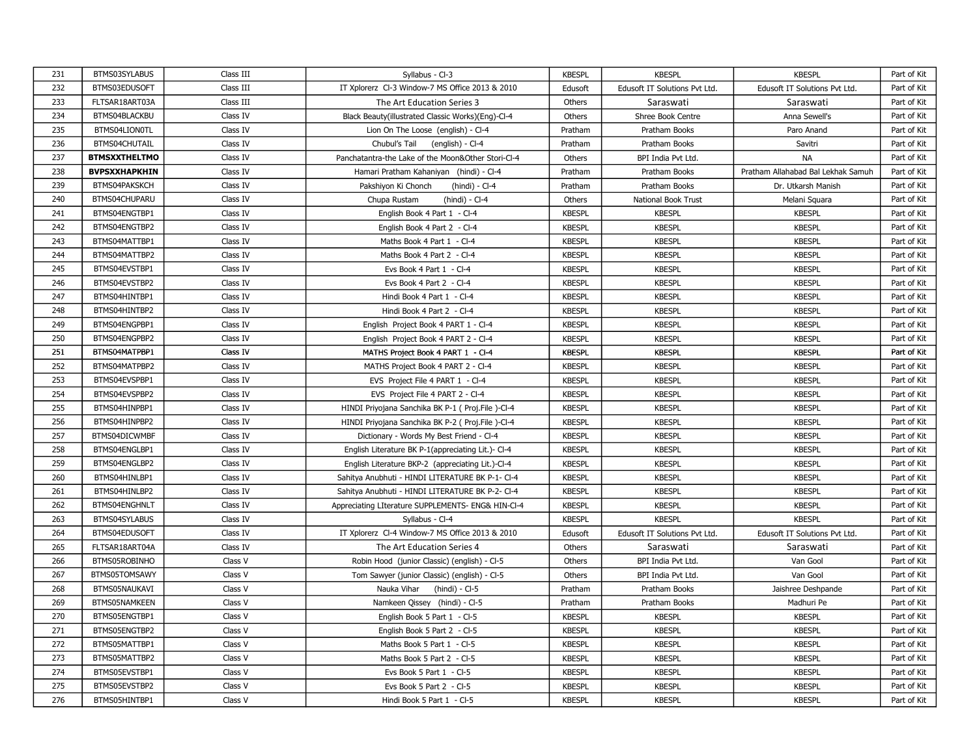| 231 | BTMS03SYLABUS        | Class III | Syllabus - Cl-3                                    | <b>KBESPL</b> | <b>KBESPL</b>                 | <b>KBESPL</b>                      | Part of Kit |
|-----|----------------------|-----------|----------------------------------------------------|---------------|-------------------------------|------------------------------------|-------------|
| 232 | BTMS03EDUSOFT        | Class III | IT Xplorerz Cl-3 Window-7 MS Office 2013 & 2010    | Edusoft       | Edusoft IT Solutions Pvt Ltd. | Edusoft IT Solutions Pvt Ltd.      | Part of Kit |
| 233 | FLTSAR18ART03A       | Class III | The Art Education Series 3                         | Others        | Saraswati                     | Saraswati                          | Part of Kit |
| 234 | BTMS04BLACKBU        | Class IV  | Black Beauty(illustrated Classic Works)(Eng)-Cl-4  | Others        | Shree Book Centre             | Anna Sewell's                      | Part of Kit |
| 235 | BTMS04LION0TL        | Class IV  | Lion On The Loose (english) - Cl-4                 | Pratham       | Pratham Books                 | Paro Anand                         | Part of Kit |
| 236 | BTMS04CHUTAIL        | Class IV  | Chubul's Tail<br>(english) - Cl-4                  | Pratham       | Pratham Books                 | Savitri                            | Part of Kit |
| 237 | <b>BTMSXXTHELTMO</b> | Class IV  | Panchatantra-the Lake of the Moon&Other Stori-Cl-4 | Others        | BPI India Pvt Ltd.            | <b>NA</b>                          | Part of Kit |
| 238 | <b>BVPSXXHAPKHIN</b> | Class IV  | Hamari Pratham Kahaniyan (hindi) - Cl-4            | Pratham       | Pratham Books                 | Pratham Allahabad Bal Lekhak Samuh | Part of Kit |
| 239 | BTMS04PAKSKCH        | Class IV  | Pakshiyon Ki Chonch<br>(hindi) - Cl-4              | Pratham       | Pratham Books                 | Dr. Utkarsh Manish                 | Part of Kit |
| 240 | BTMS04CHUPARU        | Class IV  | Chupa Rustam<br>(hindi) - Cl-4                     | Others        | National Book Trust           | Melani Squara                      | Part of Kit |
| 241 | BTMS04ENGTBP1        | Class IV  | English Book 4 Part 1 - Cl-4                       | <b>KBESPL</b> | <b>KBESPL</b>                 | <b>KBESPL</b>                      | Part of Kit |
| 242 | BTMS04ENGTBP2        | Class IV  | English Book 4 Part 2 - Cl-4                       | <b>KBESPL</b> | <b>KBESPL</b>                 | <b>KBESPL</b>                      | Part of Kit |
| 243 | BTMS04MATTBP1        | Class IV  | Maths Book 4 Part 1 - Cl-4                         | <b>KBESPL</b> | <b>KBESPL</b>                 | <b>KBESPL</b>                      | Part of Kit |
| 244 | BTMS04MATTBP2        | Class IV  | Maths Book 4 Part 2 - Cl-4                         | <b>KBESPL</b> | <b>KBESPL</b>                 | <b>KBESPL</b>                      | Part of Kit |
| 245 | BTMS04EVSTBP1        | Class IV  | Evs Book 4 Part 1 - Cl-4                           | <b>KBESPL</b> | <b>KBESPL</b>                 | <b>KBESPL</b>                      | Part of Kit |
| 246 | BTMS04EVSTBP2        | Class IV  | Evs Book 4 Part 2 - Cl-4                           | <b>KBESPL</b> | <b>KBESPL</b>                 | <b>KBESPL</b>                      | Part of Kit |
| 247 | BTMS04HINTBP1        | Class IV  | Hindi Book 4 Part 1 - Cl-4                         | <b>KBESPL</b> | <b>KBESPL</b>                 | <b>KBESPL</b>                      | Part of Kit |
| 248 | BTMS04HINTBP2        | Class IV  | Hindi Book 4 Part 2 - Cl-4                         | <b>KBESPL</b> | <b>KBESPL</b>                 | <b>KBESPL</b>                      | Part of Kit |
| 249 | BTMS04ENGPBP1        | Class IV  | English Project Book 4 PART 1 - Cl-4               | <b>KBESPL</b> | <b>KBESPL</b>                 | <b>KBESPL</b>                      | Part of Kit |
| 250 | BTMS04ENGPBP2        | Class IV  | English Project Book 4 PART 2 - Cl-4               | <b>KBESPL</b> | <b>KBESPL</b>                 | <b>KBESPL</b>                      | Part of Kit |
| 251 | BTMS04MATPBP1        | Class IV  | MATHS Project Book 4 PART 1 - Cl-4                 | <b>KBESPL</b> | <b>KBESPL</b>                 | <b>KBESPL</b>                      | Part of Kit |
| 252 | BTMS04MATPBP2        | Class IV  | MATHS Project Book 4 PART 2 - Cl-4                 | <b>KBESPL</b> | <b>KBESPL</b>                 | <b>KBESPL</b>                      | Part of Kit |
| 253 | BTMS04EVSPBP1        | Class IV  | EVS Project File 4 PART 1 - Cl-4                   | <b>KBESPL</b> | <b>KBESPL</b>                 | <b>KBESPL</b>                      | Part of Kit |
| 254 | BTMS04EVSPBP2        | Class IV  | EVS Project File 4 PART 2 - Cl-4                   | <b>KBESPL</b> | <b>KBESPL</b>                 | <b>KBESPL</b>                      | Part of Kit |
| 255 | BTMS04HINPBP1        | Class IV  | HINDI Priyojana Sanchika BK P-1 ( Proj.File )-Cl-4 | <b>KBESPL</b> | <b>KBESPL</b>                 | <b>KBESPL</b>                      | Part of Kit |
| 256 | BTMS04HINPBP2        | Class IV  | HINDI Priyojana Sanchika BK P-2 ( Proj.File )-Cl-4 | <b>KBESPL</b> | <b>KBESPL</b>                 | <b>KBESPL</b>                      | Part of Kit |
| 257 | BTMS04DICWMBF        | Class IV  | Dictionary - Words My Best Friend - Cl-4           | <b>KBESPL</b> | <b>KBESPL</b>                 | <b>KBESPL</b>                      | Part of Kit |
| 258 | BTMS04ENGLBP1        | Class IV  | English Literature BK P-1(appreciating Lit.)- Cl-4 | <b>KBESPL</b> | <b>KBESPL</b>                 | <b>KBESPL</b>                      | Part of Kit |
| 259 | BTMS04ENGLBP2        | Class IV  | English Literature BKP-2 (appreciating Lit.)-Cl-4  | <b>KBESPL</b> | <b>KBESPL</b>                 | <b>KBESPL</b>                      | Part of Kit |
| 260 | BTMS04HINLBP1        | Class IV  | Sahitya Anubhuti - HINDI LITERATURE BK P-1- Cl-4   | <b>KBESPL</b> | <b>KBESPL</b>                 | <b>KBESPL</b>                      | Part of Kit |
| 261 | BTMS04HINLBP2        | Class IV  | Sahitya Anubhuti - HINDI LITERATURE BK P-2- Cl-4   | <b>KBESPL</b> | <b>KBESPL</b>                 | <b>KBESPL</b>                      | Part of Kit |
| 262 | BTMS04ENGHNLT        | Class IV  | Appreciating LIterature SUPPLEMENTS- ENG& HIN-Cl-4 | <b>KBESPL</b> | <b>KBESPL</b>                 | <b>KBESPL</b>                      | Part of Kit |
| 263 | BTMS04SYLABUS        | Class IV  | Syllabus - Cl-4                                    | <b>KBESPL</b> | <b>KBESPL</b>                 | <b>KBESPL</b>                      | Part of Kit |
| 264 | BTMS04EDUSOFT        | Class IV  | IT Xplorerz Cl-4 Window-7 MS Office 2013 & 2010    | Edusoft       | Edusoft IT Solutions Pvt Ltd. | Edusoft IT Solutions Pvt Ltd.      | Part of Kit |
| 265 | FLTSAR18ART04A       | Class IV  | The Art Education Series 4                         | Others        | Saraswati                     | Saraswati                          | Part of Kit |
| 266 | BTMS05ROBINHO        | Class V   | Robin Hood (junior Classic) (english) - Cl-5       | Others        | BPI India Pvt Ltd.            | Van Gool                           | Part of Kit |
| 267 | BTMS05TOMSAWY        | Class V   | Tom Sawyer (junior Classic) (english) - Cl-5       | Others        | BPI India Pvt Ltd.            | Van Gool                           | Part of Kit |
| 268 | BTMS05NAUKAVI        | Class V   | Nauka Vihar<br>(hindi) - Cl-5                      | Pratham       | Pratham Books                 | Jaishree Deshpande                 | Part of Kit |
| 269 | BTMS05NAMKEEN        | Class V   | Namkeen Qissey (hindi) - Cl-5                      | Pratham       | Pratham Books                 | Madhuri Pe                         | Part of Kit |
| 270 | BTMS05ENGTBP1        | Class V   | English Book 5 Part 1 - Cl-5                       | <b>KBESPL</b> | <b>KBESPL</b>                 | <b>KBESPL</b>                      | Part of Kit |
| 271 | BTMS05ENGTBP2        | Class V   | English Book 5 Part 2 - Cl-5                       | <b>KBESPL</b> | <b>KBESPL</b>                 | <b>KBESPL</b>                      | Part of Kit |
| 272 | BTMS05MATTBP1        | Class V   | Maths Book 5 Part 1 - Cl-5                         | <b>KBESPL</b> | <b>KBESPL</b>                 | <b>KBESPL</b>                      | Part of Kit |
| 273 | BTMS05MATTBP2        | Class V   | Maths Book 5 Part 2 - Cl-5                         | <b>KBESPL</b> | <b>KBESPL</b>                 | <b>KBESPL</b>                      | Part of Kit |
| 274 | BTMS05EVSTBP1        | Class V   | Evs Book 5 Part 1 - Cl-5                           | <b>KBESPL</b> | <b>KBESPL</b>                 | <b>KBESPL</b>                      | Part of Kit |
| 275 | BTMS05EVSTBP2        | Class V   | Evs Book 5 Part 2 - Cl-5                           | <b>KBESPL</b> | <b>KBESPL</b>                 | <b>KBESPL</b>                      | Part of Kit |
| 276 | BTMS05HINTBP1        | Class V   | Hindi Book 5 Part 1 - Cl-5                         | <b>KBESPL</b> | <b>KBESPL</b>                 | <b>KBESPL</b>                      | Part of Kit |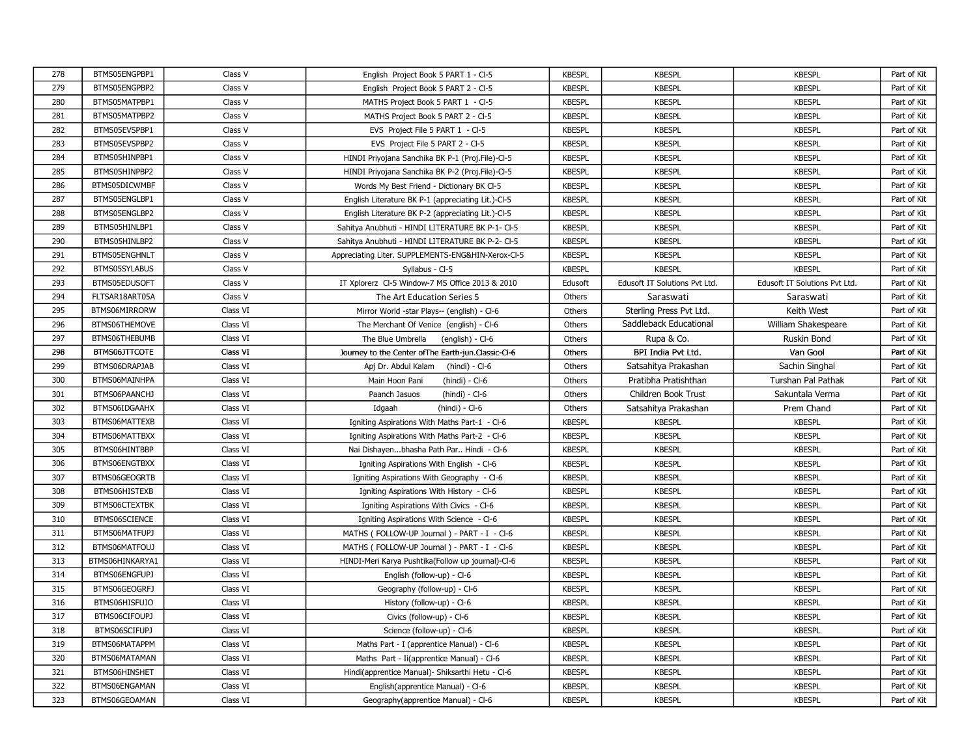| 278 | BTMS05ENGPBP1   | Class V  | English Project Book 5 PART 1 - Cl-5                 | <b>KBESPL</b> | <b>KBESPL</b>                 | <b>KBESPL</b>                 | Part of Kit |
|-----|-----------------|----------|------------------------------------------------------|---------------|-------------------------------|-------------------------------|-------------|
| 279 | BTMS05ENGPBP2   | Class V  | English Project Book 5 PART 2 - Cl-5                 | <b>KBESPL</b> | <b>KBESPL</b>                 | <b>KBESPL</b>                 | Part of Kit |
| 280 | BTMS05MATPBP1   | Class V  | MATHS Project Book 5 PART 1 - Cl-5                   | <b>KBESPL</b> | <b>KBESPL</b>                 | <b>KBESPL</b>                 | Part of Kit |
| 281 | BTMS05MATPBP2   | Class V  | MATHS Project Book 5 PART 2 - Cl-5                   | <b>KBESPL</b> | <b>KBESPL</b>                 | <b>KBESPL</b>                 | Part of Kit |
| 282 | BTMS05EVSPBP1   | Class V  | EVS Project File 5 PART 1 - Cl-5                     | <b>KBESPL</b> | <b>KBESPL</b>                 | <b>KBESPL</b>                 | Part of Kit |
| 283 | BTMS05EVSPBP2   | Class V  | EVS Project File 5 PART 2 - CI-5                     | <b>KBESPL</b> | <b>KBESPL</b>                 | <b>KBESPL</b>                 | Part of Kit |
| 284 | BTMS05HINPBP1   | Class V  | HINDI Priyojana Sanchika BK P-1 (Proj.File)-Cl-5     | <b>KBESPL</b> | <b>KBESPL</b>                 | <b>KBESPL</b>                 | Part of Kit |
| 285 | BTMS05HINPBP2   | Class V  | HINDI Priyojana Sanchika BK P-2 (Proj.File)-Cl-5     | <b>KBESPL</b> | <b>KBESPL</b>                 | <b>KBESPL</b>                 | Part of Kit |
| 286 | BTMS05DICWMBF   | Class V  | Words My Best Friend - Dictionary BK Cl-5            | <b>KBESPL</b> | <b>KBESPL</b>                 | <b>KBESPL</b>                 | Part of Kit |
| 287 | BTMS05ENGLBP1   | Class V  | English Literature BK P-1 (appreciating Lit.)-Cl-5   | <b>KBESPL</b> | <b>KBESPL</b>                 | <b>KBESPL</b>                 | Part of Kit |
| 288 | BTMS05ENGLBP2   | Class V  | English Literature BK P-2 (appreciating Lit.)-Cl-5   | <b>KBESPL</b> | <b>KBESPL</b>                 | <b>KBESPL</b>                 | Part of Kit |
| 289 | BTMS05HINLBP1   | Class V  | Sahitya Anubhuti - HINDI LITERATURE BK P-1- Cl-5     | <b>KBESPL</b> | <b>KBESPL</b>                 | <b>KBESPL</b>                 | Part of Kit |
| 290 | BTMS05HINLBP2   | Class V  | Sahitya Anubhuti - HINDI LITERATURE BK P-2- Cl-5     | <b>KBESPL</b> | <b>KBESPL</b>                 | <b>KBESPL</b>                 | Part of Kit |
| 291 | BTMS05ENGHNLT   | Class V  | Appreciating Liter. SUPPLEMENTS-ENG&HIN-Xerox-CI-5   | <b>KBESPL</b> | <b>KBESPL</b>                 | <b>KBESPL</b>                 | Part of Kit |
| 292 | BTMS05SYLABUS   | Class V  | Syllabus - Cl-5                                      | <b>KBESPL</b> | <b>KBESPL</b>                 | <b>KBESPL</b>                 | Part of Kit |
| 293 | BTMS05EDUSOFT   | Class V  | IT Xplorerz Cl-5 Window-7 MS Office 2013 & 2010      | Edusoft       | Edusoft IT Solutions Pvt Ltd. | Edusoft IT Solutions Pvt Ltd. | Part of Kit |
| 294 | FLTSAR18ART05A  | Class V  | The Art Education Series 5                           | Others        | Saraswati                     | Saraswati                     | Part of Kit |
| 295 | BTMS06MIRRORW   | Class VI | Mirror World -star Plays-- (english) - Cl-6          | Others        | Sterling Press Pvt Ltd.       | Keith West                    | Part of Kit |
| 296 | BTMS06THEMOVE   | Class VI | The Merchant Of Venice (english) - Cl-6              | Others        | Saddleback Educational        | William Shakespeare           | Part of Kit |
| 297 | BTMS06THEBUMB   | Class VI | The Blue Umbrella<br>(english) - Cl-6                | Others        | Rupa & Co.                    | Ruskin Bond                   | Part of Kit |
| 298 | BTMS06JTTCOTE   | Class VI | Journey to the Center of The Earth-jun. Classic-Cl-6 | Others        | BPI India Pvt Ltd.            | Van Gool                      | Part of Kit |
| 299 | BTMS06DRAPJAB   | Class VI | Apj Dr. Abdul Kalam<br>(hindi) - Cl-6                | Others        | Satsahitya Prakashan          | Sachin Singhal                | Part of Kit |
| 300 | BTMS06MAINHPA   | Class VI | Main Hoon Pani<br>(hindi) - Cl-6                     | Others        | Pratibha Pratishthan          | Turshan Pal Pathak            | Part of Kit |
| 301 | BTMS06PAANCHJ   | Class VI | Paanch Jasuos<br>(hindi) - Cl-6                      | Others        | Children Book Trust           | Sakuntala Verma               | Part of Kit |
| 302 | BTMS06IDGAAHX   | Class VI | Idgaah<br>$(hindi) - Cl-6$                           | Others        | Satsahitya Prakashan          | Prem Chand                    | Part of Kit |
| 303 | BTMS06MATTEXB   | Class VI | Igniting Aspirations With Maths Part-1 - Cl-6        | <b>KBESPL</b> | <b>KBESPL</b>                 | <b>KBESPL</b>                 | Part of Kit |
| 304 | BTMS06MATTBXX   | Class VI | Igniting Aspirations With Maths Part-2 - Cl-6        | <b>KBESPL</b> | <b>KBESPL</b>                 | <b>KBESPL</b>                 | Part of Kit |
| 305 | BTMS06HINTBBP   | Class VI | Nai Dishayenbhasha Path Par Hindi - Cl-6             | <b>KBESPL</b> | <b>KBESPL</b>                 | <b>KBESPL</b>                 | Part of Kit |
| 306 | BTMS06ENGTBXX   | Class VI | Igniting Aspirations With English - Cl-6             | <b>KBESPL</b> | <b>KBESPL</b>                 | <b>KBESPL</b>                 | Part of Kit |
| 307 | BTMS06GEOGRTB   | Class VI | Igniting Aspirations With Geography - Cl-6           | <b>KBESPL</b> | <b>KBESPL</b>                 | <b>KBESPL</b>                 | Part of Kit |
| 308 | BTMS06HISTEXB   | Class VI | Igniting Aspirations With History - Cl-6             | <b>KBESPL</b> | <b>KBESPL</b>                 | <b>KBESPL</b>                 | Part of Kit |
| 309 | BTMS06CTEXTBK   | Class VI | Igniting Aspirations With Civics - Cl-6              | <b>KBESPL</b> | <b>KBESPL</b>                 | <b>KBESPL</b>                 | Part of Kit |
| 310 | BTMS06SCIENCE   | Class VI | Igniting Aspirations With Science - CI-6             | <b>KBESPL</b> | <b>KBESPL</b>                 | <b>KBESPL</b>                 | Part of Kit |
| 311 | BTMS06MATFUPJ   | Class VI | MATHS (FOLLOW-UP Journal ) - PART - I - Cl-6         | <b>KBESPL</b> | <b>KBESPL</b>                 | <b>KBESPL</b>                 | Part of Kit |
| 312 | BTMS06MATFOUJ   | Class VI | MATHS (FOLLOW-UP Journal) - PART - I - Cl-6          | <b>KBESPL</b> | <b>KBESPL</b>                 | <b>KBESPL</b>                 | Part of Kit |
| 313 | BTMS06HINKARYA1 | Class VI | HINDI-Meri Karya Pushtika(Follow up journal)-Cl-6    | <b>KBESPL</b> | <b>KBESPL</b>                 | <b>KBESPL</b>                 | Part of Kit |
| 314 | BTMS06ENGFUPJ   | Class VI | English (follow-up) - Cl-6                           | <b>KBESPL</b> | <b>KBESPL</b>                 | <b>KBESPL</b>                 | Part of Kit |
| 315 | BTMS06GEOGRFJ   | Class VI | Geography (follow-up) - Cl-6                         | <b>KBESPL</b> | <b>KBESPL</b>                 | <b>KBESPL</b>                 | Part of Kit |
| 316 | BTMS06HISFUJO   | Class VI | History (follow-up) - Cl-6                           | <b>KBESPL</b> | <b>KBESPL</b>                 | <b>KBESPL</b>                 | Part of Kit |
| 317 | BTMS06CIFOUPJ   | Class VI | Civics (follow-up) - Cl-6                            | <b>KBESPL</b> | <b>KBESPL</b>                 | <b>KBESPL</b>                 | Part of Kit |
| 318 | BTMS06SCIFUPJ   | Class VI | Science (follow-up) - Cl-6                           | <b>KBESPL</b> | <b>KBESPL</b>                 | <b>KBESPL</b>                 | Part of Kit |
| 319 | BTMS06MATAPPM   | Class VI | Maths Part - I (apprentice Manual) - Cl-6            | <b>KBESPL</b> | <b>KBESPL</b>                 | <b>KBESPL</b>                 | Part of Kit |
| 320 | BTMS06MATAMAN   | Class VI | Maths Part - Ii(apprentice Manual) - Cl-6            | <b>KBESPL</b> | <b>KBESPL</b>                 | <b>KBESPL</b>                 | Part of Kit |
| 321 | BTMS06HINSHET   | Class VI | Hindi(apprentice Manual) - Shiksarthi Hetu - Cl-6    | <b>KBESPL</b> | <b>KBESPL</b>                 | <b>KBESPL</b>                 | Part of Kit |
| 322 | BTMS06ENGAMAN   | Class VI | English(apprentice Manual) - Cl-6                    | <b>KBESPL</b> | <b>KBESPL</b>                 | <b>KBESPL</b>                 | Part of Kit |
| 323 | BTMS06GEOAMAN   | Class VI | Geography(apprentice Manual) - Cl-6                  | <b>KBESPL</b> | <b>KBESPL</b>                 | <b>KBESPL</b>                 | Part of Kit |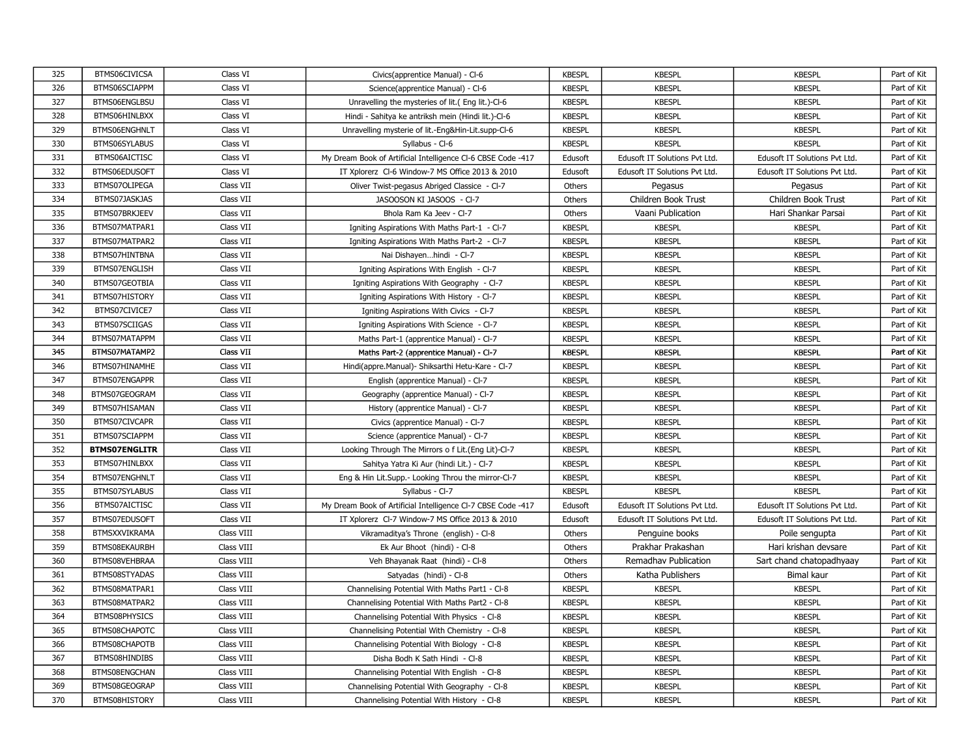| 325 | BTMS06CIVICSA        | Class VI   | Civics(apprentice Manual) - Cl-6                             | <b>KBESPL</b> | <b>KBESPL</b>                 | <b>KBESPL</b>                 | Part of Kit |
|-----|----------------------|------------|--------------------------------------------------------------|---------------|-------------------------------|-------------------------------|-------------|
| 326 | BTMS06SCIAPPM        | Class VI   | Science(apprentice Manual) - Cl-6                            | <b>KBESPL</b> | <b>KBESPL</b>                 | <b>KBESPL</b>                 | Part of Kit |
| 327 | BTMS06ENGLBSU        | Class VI   | Unravelling the mysteries of lit. (Eng lit.)-Cl-6            | <b>KBESPL</b> | <b>KBESPL</b>                 | <b>KBESPL</b>                 | Part of Kit |
| 328 | BTMS06HINLBXX        | Class VI   | Hindi - Sahitya ke antriksh mein (Hindi lit.)-Cl-6           | <b>KBESPL</b> | <b>KBESPL</b>                 | <b>KBESPL</b>                 | Part of Kit |
| 329 | BTMS06ENGHNLT        | Class VI   | Unravelling mysterie of lit.-Eng&Hin-Lit.supp-Cl-6           | <b>KBESPL</b> | <b>KBESPL</b>                 | <b>KBESPL</b>                 | Part of Kit |
| 330 | BTMS06SYLABUS        | Class VI   | Syllabus - Cl-6                                              | <b>KBESPL</b> | <b>KBESPL</b>                 | <b>KBESPL</b>                 | Part of Kit |
| 331 | BTMS06AICTISC        | Class VI   | My Dream Book of Artificial Intelligence CI-6 CBSE Code -417 | Edusoft       | Edusoft IT Solutions Pvt Ltd. | Edusoft IT Solutions Pvt Ltd. | Part of Kit |
| 332 | BTMS06EDUSOFT        | Class VI   | IT Xplorerz Cl-6 Window-7 MS Office 2013 & 2010              | Edusoft       | Edusoft IT Solutions Pvt Ltd. | Edusoft IT Solutions Pvt Ltd. | Part of Kit |
| 333 | BTMS07OLIPEGA        | Class VII  | Oliver Twist-pegasus Abriged Classice - Cl-7                 | Others        | Pegasus                       | Pegasus                       | Part of Kit |
| 334 | BTMS07JASKJAS        | Class VII  | JASOOSON KI JASOOS - Cl-7                                    | Others        | Children Book Trust           | Children Book Trust           | Part of Kit |
| 335 | BTMS07BRKJEEV        | Class VII  | Bhola Ram Ka Jeev - Cl-7                                     | Others        | Vaani Publication             | Hari Shankar Parsai           | Part of Kit |
| 336 | BTMS07MATPAR1        | Class VII  | Igniting Aspirations With Maths Part-1 - Cl-7                | <b>KBESPL</b> | <b>KBESPL</b>                 | <b>KBESPL</b>                 | Part of Kit |
| 337 | BTMS07MATPAR2        | Class VII  | Igniting Aspirations With Maths Part-2 - Cl-7                | <b>KBESPL</b> | <b>KBESPL</b>                 | <b>KBESPL</b>                 | Part of Kit |
| 338 | BTMS07HINTBNA        | Class VII  | Nai Dishayenhindi - Cl-7                                     | <b>KBESPL</b> | <b>KBESPL</b>                 | <b>KBESPL</b>                 | Part of Kit |
| 339 | BTMS07ENGLISH        | Class VII  | Igniting Aspirations With English - Cl-7                     | <b>KBESPL</b> | <b>KBESPL</b>                 | <b>KBESPL</b>                 | Part of Kit |
| 340 | BTMS07GEOTBIA        | Class VII  | Igniting Aspirations With Geography - Cl-7                   | <b>KBESPL</b> | <b>KBESPL</b>                 | <b>KBESPL</b>                 | Part of Kit |
| 341 | BTMS07HISTORY        | Class VII  | Igniting Aspirations With History - Cl-7                     | <b>KBESPL</b> | <b>KBESPL</b>                 | <b>KBESPL</b>                 | Part of Kit |
| 342 | BTMS07CIVICE7        | Class VII  | Igniting Aspirations With Civics - Cl-7                      | <b>KBESPL</b> | <b>KBESPL</b>                 | <b>KBESPL</b>                 | Part of Kit |
| 343 | BTMS07SCIIGAS        | Class VII  | Igniting Aspirations With Science - Cl-7                     | <b>KBESPL</b> | <b>KBESPL</b>                 | <b>KBESPL</b>                 | Part of Kit |
| 344 | BTMS07MATAPPM        | Class VII  | Maths Part-1 (apprentice Manual) - Cl-7                      | <b>KBESPL</b> | <b>KBESPL</b>                 | <b>KBESPL</b>                 | Part of Kit |
| 345 | BTMS07MATAMP2        | Class VII  | Maths Part-2 (apprentice Manual) - Cl-7                      | <b>KBESPL</b> | <b>KBESPL</b>                 | <b>KBESPL</b>                 | Part of Kit |
| 346 | BTMS07HINAMHE        | Class VII  | Hindi(appre.Manual)- Shiksarthi Hetu-Kare - Cl-7             | <b>KBESPL</b> | <b>KBESPL</b>                 | <b>KBESPL</b>                 | Part of Kit |
| 347 | BTMS07ENGAPPR        | Class VII  | English (apprentice Manual) - Cl-7                           | <b>KBESPL</b> | <b>KBESPL</b>                 | <b>KBESPL</b>                 | Part of Kit |
| 348 | BTMS07GEOGRAM        | Class VII  | Geography (apprentice Manual) - Cl-7                         | <b>KBESPL</b> | <b>KBESPL</b>                 | <b>KBESPL</b>                 | Part of Kit |
| 349 | BTMS07HISAMAN        | Class VII  | History (apprentice Manual) - Cl-7                           | <b>KBESPL</b> | <b>KBESPL</b>                 | <b>KBESPL</b>                 | Part of Kit |
| 350 | BTMS07CIVCAPR        | Class VII  | Civics (apprentice Manual) - Cl-7                            | <b>KBESPL</b> | <b>KBESPL</b>                 | <b>KBESPL</b>                 | Part of Kit |
| 351 | BTMS07SCIAPPM        | Class VII  | Science (apprentice Manual) - Cl-7                           | <b>KBESPL</b> | <b>KBESPL</b>                 | <b>KBESPL</b>                 | Part of Kit |
| 352 | <b>BTMS07ENGLITR</b> | Class VII  | Looking Through The Mirrors o f Lit.(Eng Lit)-Cl-7           | <b>KBESPL</b> | <b>KBESPL</b>                 | <b>KBESPL</b>                 | Part of Kit |
| 353 | BTMS07HINLBXX        | Class VII  | Sahitya Yatra Ki Aur (hindi Lit.) - Cl-7                     | <b>KBESPL</b> | <b>KBESPL</b>                 | <b>KBESPL</b>                 | Part of Kit |
| 354 | BTMS07ENGHNLT        | Class VII  | Eng & Hin Lit.Supp.- Looking Throu the mirror-Cl-7           | <b>KBESPL</b> | <b>KBESPL</b>                 | <b>KBESPL</b>                 | Part of Kit |
| 355 | BTMS07SYLABUS        | Class VII  | Syllabus - Cl-7                                              | <b>KBESPL</b> | <b>KBESPL</b>                 | <b>KBESPL</b>                 | Part of Kit |
| 356 | BTMS07AICTISC        | Class VII  | My Dream Book of Artificial Intelligence CI-7 CBSE Code -417 | Edusoft       | Edusoft IT Solutions Pvt Ltd. | Edusoft IT Solutions Pvt Ltd. | Part of Kit |
| 357 | BTMS07EDUSOFT        | Class VII  | IT Xplorerz Cl-7 Window-7 MS Office 2013 & 2010              | Edusoft       | Edusoft IT Solutions Pvt Ltd. | Edusoft IT Solutions Pvt Ltd. | Part of Kit |
| 358 | <b>BTMSXXVIKRAMA</b> | Class VIII | Vikramaditya's Throne (english) - Cl-8                       | Others        | Penguine books                | Poile sengupta                | Part of Kit |
| 359 | BTMS08EKAURBH        | Class VIII | Ek Aur Bhoot (hindi) - Cl-8                                  | Others        | Prakhar Prakashan             | Hari krishan devsare          | Part of Kit |
| 360 | BTMS08VEHBRAA        | Class VIII | Veh Bhayanak Raat (hindi) - Cl-8                             | Others        | Remadhav Publication          | Sart chand chatopadhyaay      | Part of Kit |
| 361 | BTMS08STYADAS        | Class VIII | Satyadas (hindi) - Cl-8                                      | Others        | Katha Publishers              | <b>Bimal kaur</b>             | Part of Kit |
| 362 | BTMS08MATPAR1        | Class VIII | Channelising Potential With Maths Part1 - Cl-8               | <b>KBESPL</b> | <b>KBESPL</b>                 | <b>KBESPL</b>                 | Part of Kit |
| 363 | BTMS08MATPAR2        | Class VIII | Channelising Potential With Maths Part2 - Cl-8               | <b>KBESPL</b> | <b>KBESPL</b>                 | <b>KBESPL</b>                 | Part of Kit |
| 364 | BTMS08PHYSICS        | Class VIII | Channelising Potential With Physics - Cl-8                   | <b>KBESPL</b> | <b>KBESPL</b>                 | <b>KBESPL</b>                 | Part of Kit |
| 365 | BTMS08CHAPOTC        | Class VIII | Channelising Potential With Chemistry - Cl-8                 | <b>KBESPL</b> | <b>KBESPL</b>                 | <b>KBESPL</b>                 | Part of Kit |
| 366 | BTMS08CHAPOTB        | Class VIII | Channelising Potential With Biology - Cl-8                   | <b>KBESPL</b> | <b>KBESPL</b>                 | <b>KBESPL</b>                 | Part of Kit |
| 367 | BTMS08HINDIBS        | Class VIII | Disha Bodh K Sath Hindi - Cl-8                               | <b>KBESPL</b> | <b>KBESPL</b>                 | <b>KBESPL</b>                 | Part of Kit |
| 368 | BTMS08ENGCHAN        | Class VIII | Channelising Potential With English - Cl-8                   | <b>KBESPL</b> | <b>KBESPL</b>                 | <b>KBESPL</b>                 | Part of Kit |
| 369 | BTMS08GEOGRAP        | Class VIII | Channelising Potential With Geography - Cl-8                 | <b>KBESPL</b> | <b>KBESPL</b>                 | <b>KBESPL</b>                 | Part of Kit |
| 370 | BTMS08HISTORY        | Class VIII | Channelising Potential With History - Cl-8                   | <b>KBESPL</b> | <b>KBESPL</b>                 | <b>KBESPL</b>                 | Part of Kit |